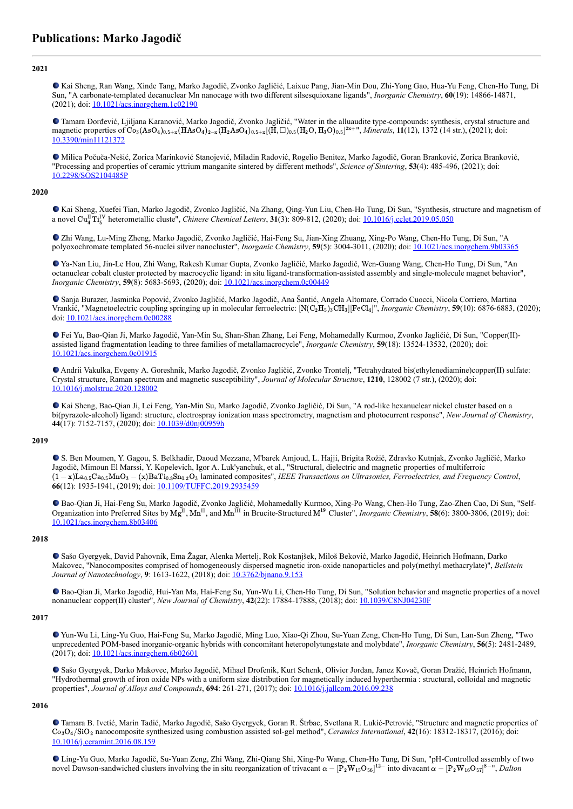# **2021**

Kai Sheng, Ran Wang, Xinde Tang, Marko Jagodič, Zvonko Jagličić, Laixue Pang, Jian-Min Dou, Zhi-Yong Gao, Hua-Yu Feng, Chen-Ho Tung, Di Sun, "A carbonate-templated decanuclear Mn nanocage with two different silsesquioxane ligands", *Inorganic Chemistry*, **60**(19): 14866-14871, (2021); doi: [10.1021/acs.inorgchem.1c02190](https://dx.doi.org/10.1021/acs.inorgchem.1c02190)

Tamara Đorđević, Ljiljana Karanović, Marko Jagodič, Zvonko Jagličić, "Water in the alluaudite type-compounds: synthesis, crystal structure and magnetic properties of  $\text{Co}_3(\text{AsO}_4)_{0.5+\times}(\text{HAsO}_4)_{2-\times}(\text{H}_2\text{AsO}_4)_{0.5+\times}[(\text{H}, \Box)_{0.5}(\text{H}_2\text{O}, \text{H}_3\text{O})_{0.5}]^{2x+\text{H}}$ , Minerals, 11(12), 1372 (14 str.), (2021); doi: [10.3390/min11121372](https://dx.doi.org/10.3390/min11121372)

Milica Počuča-Nešić, Zorica Marinković Stanojević, Miladin Radović, Rogelio Benitez, Marko Jagodič, Goran Branković, Zorica Branković, "Processing and properties of ceramic yttrium manganite sintered by different methods", *Science of Sintering*, **53**(4): 485-496, (2021); doi: [10.2298/SOS2104485P](https://dx.doi.org/10.2298/SOS2104485P)

#### **2020**

Kai Sheng, Xuefei Tian, Marko Jagodič, Zvonko Jagličić, Na Zhang, Qing-Yun Liu, Chen-Ho Tung, Di Sun, "Synthesis, structure and magnetism of a novel  $\text{Cu}_4^{\text{IT}}$ Ti<sub>5</sub><sup>IV</sup> heterometallic cluste", *Chinese Chemical Letters*, **31**(3): 809-812, (2020); doi: <u>[10.1016/j.cclet.2019.05.050](https://dx.doi.org/10.1016/j.cclet.2019.05.050)</u>

Zhi Wang, Lu-Ming Zheng, Marko Jagodič, Zvonko Jagličić, Hai-Feng Su, Jian-Xing Zhuang, Xing-Po Wang, Chen-Ho Tung, Di Sun, "A polyoxochromate templated 56-nuclei silver nanocluster", *Inorganic Chemistry*, **59**(5): 3004-3011, (2020); doi: [10.1021/acs.inorgchem.9b03365](https://dx.doi.org/10.1021/acs.inorgchem.9b03365)

Ya-Nan Liu, Jin-Le Hou, Zhi Wang, Rakesh Kumar Gupta, Zvonko Jagličić, Marko Jagodič, Wen-Guang Wang, Chen-Ho Tung, Di Sun, "An octanuclear cobalt cluster protected by macrocyclic ligand: in situ ligand-transformation-assisted assembly and single-molecule magnet behavior", *Inorganic Chemistry*, **59**(8): 5683-5693, (2020); doi: **10.1021/acs.inorgchem.0c00449** 

Sanja Burazer, Jasminka Popović, Zvonko Jagličić, Marko Jagodič, Ana Šantić, Angela Altomare, Corrado Cuocci, Nicola Corriero, Martina Vrankić, "Magnetoelectric coupling springing up in molecular ferroelectric: [N(C<sub>2</sub>H<sub>5</sub>)<sub>3</sub>CH<sub>3</sub>][FeCl<sub>4</sub>]", *Inorganic Chemistry*, **59**(10): 6876-6883, (2020); doi: [10.1021/acs.inorgchem.0c00288](https://dx.doi.org/10.1021/acs.inorgchem.0c00288)

Fei Yu, Bao-Qian Ji, Marko Jagodič, Yan-Min Su, Shan-Shan Zhang, Lei Feng, Mohamedally Kurmoo, Zvonko Jagličić, Di Sun, "Copper(II) assisted ligand fragmentation leading to three families of metallamacrocycle", *Inorganic Chemistry*, **59**(18): 13524-13532, (2020); doi: [10.1021/acs.inorgchem.0c01915](https://dx.doi.org/10.1021/acs.inorgchem.0c01915)

Andrii Vakulka, Evgeny A. Goreshnik, Marko Jagodič, Zvonko Jagličić, Zvonko Trontelj, "Tetrahydrated bis(ethylenediamine)copper(II) sulfate: Crystal structure, Raman spectrum and magnetic susceptibility", *Journal of Molecular Structure*, **1210**, 128002 (7 str.), (2020); doi: [10.1016/j.molstruc.2020.128002](https://dx.doi.org/10.1016/j.molstruc.2020.128002)

Kai Sheng, Bao-Qian Ji, Lei Feng, Yan-Min Su, Marko Jagodič, Zvonko Jagličić, Di Sun, "A rod-like hexanuclear nickel cluster based on a bi(pyrazole-alcohol) ligand: structure, electrospray ionization mass spectrometry, magnetism and photocurrent response", *New Journal of Chemistry*, **44**(17): 7152-7157, (2020); doi: [10.1039/d0nj00959h](https://dx.doi.org/10.1039/d0nj00959h)

## **2019**

S. Ben Moumen, Y. Gagou, S. Belkhadir, Daoud Mezzane, M'barek Amjoud, L. Hajji, Brigita Rožič, Zdravko Kutnjak, Zvonko Jagličić, Marko Jagodič, Mimoun El Marssi, Y. Kopelevich, Igor A. Luk'yanchuk, et al., "Structural, dielectric and magnetic properties of multiferroic laminated composites", *IEEE Transactions on Ultrasonics, Ferroelectrics, and Frequency Control*, (1 − x)La0.5Ca0.5MnO<sup>3</sup> − (x)BaTi0.8Sn0.2O<sup>3</sup> **66**(12): 1935-1941, (2019); doi: [10.1109/TUFFC.2019.2935459](https://dx.doi.org/10.1109/TUFFC.2019.2935459)

Bao-Qian Ji, Hai-Feng Su, Marko Jagodič, Zvonko Jagličić, Mohamedally Kurmoo, Xing-Po Wang, Chen-Ho Tung, Zao-Zhen Cao, Di Sun, "Self-Organization into Preferred Sites by  $Mg^{II}$ ,  $Mn^{II}$ , and  $Mn^{III}$  in Brucite-Structured  $M^{19}$  Cluster", *Inorganic Chemistry*, **58**(6): 3800-3806, (2019); doi: [10.1021/acs.inorgchem.8b03406](https://dx.doi.org/10.1021/acs.inorgchem.8b03406)

## **2018**

Sašo Gyergyek, David Pahovnik, Ema Žagar, Alenka Mertelj, Rok Kostanjšek, Miloš Beković, Marko Jagodič, Heinrich Hofmann, Darko Makovec, "Nanocomposites comprised of homogeneously dispersed magnetic iron-oxide nanoparticles and poly(methyl methacrylate)", *Beilstein Journal of Nanotechnology*, **9**: 1613-1622, (2018); doi: [10.3762/bjnano.9.153](https://dx.doi.org/10.3762/bjnano.9.153)

Bao-Qian Ji, Marko Jagodič, Hui-Yan Ma, Hai-Feng Su, Yun-Wu Li, Chen-Ho Tung, Di Sun, "Solution behavior and magnetic properties of a novel nonanuclear copper(II) cluster", *New Journal of Chemistry*, **42**(22): 17884-17888, (2018); doi: [10.1039/C8NJ04230F](https://dx.doi.org/10.1039/C8NJ04230F)

## **2017**

Yun-Wu Li, Ling-Yu Guo, Hai-Feng Su, Marko Jagodič, Ming Luo, Xiao-Qi Zhou, Su-Yuan Zeng, Chen-Ho Tung, Di Sun, Lan-Sun Zheng, "Two unprecedented POM-based inorganic-organic hybrids with concomitant heteropolytungstate and molybdate", *Inorganic Chemistry*, **56**(5): 2481-2489, (2017); doi: [10.1021/acs.inorgchem.6b02601](https://dx.doi.org/10.1021/acs.inorgchem.6b02601)

Sašo Gyergyek, Darko Makovec, Marko Jagodič, Mihael Drofenik, Kurt Schenk, Olivier Jordan, Janez Kovač, Goran Dražić, Heinrich Hofmann, "Hydrothermal growth of iron oxide NPs with a uniform size distribution for magnetically induced hyperthermia : structural, colloidal and magnetic properties", *Journal of Alloys and Compounds*, **694**: 261-271, (2017); doi: [10.1016/j.jallcom.2016.09.238](https://dx.doi.org/10.1016/j.jallcom.2016.09.238)

#### **2016**

Tamara B. Ivetić, Marin Tadić, Marko Jagodič, Sašo Gyergyek, Goran R. Štrbac, Svetlana R. Lukić-Petrović, "Structure and magnetic properties of Co<sub>3</sub>O<sub>4</sub>/SiO<sub>2</sub> nanocomposite synthesized using combustion assisted sol-gel method", *Ceramics International*, **42**(16): 18312-18317, (2016); doi: [10.1016/j.ceramint.2016.08.159](https://dx.doi.org/10.1016/j.ceramint.2016.08.159)

Ling-Yu Guo, Marko Jagodič, Su-Yuan Zeng, Zhi Wang, Zhi-Qiang Shi, Xing-Po Wang, Chen-Ho Tung, Di Sun, "pH-Controlled assembly of two novel Dawson-sandwiched clusters involving the in situ reorganization of trivacant  $\alpha - [P_2 W_{15} O_{56}]^{12-}$  into divacant  $\alpha - [P_2 W_{16} O_{57}]^{8-}$ ", *Dalton*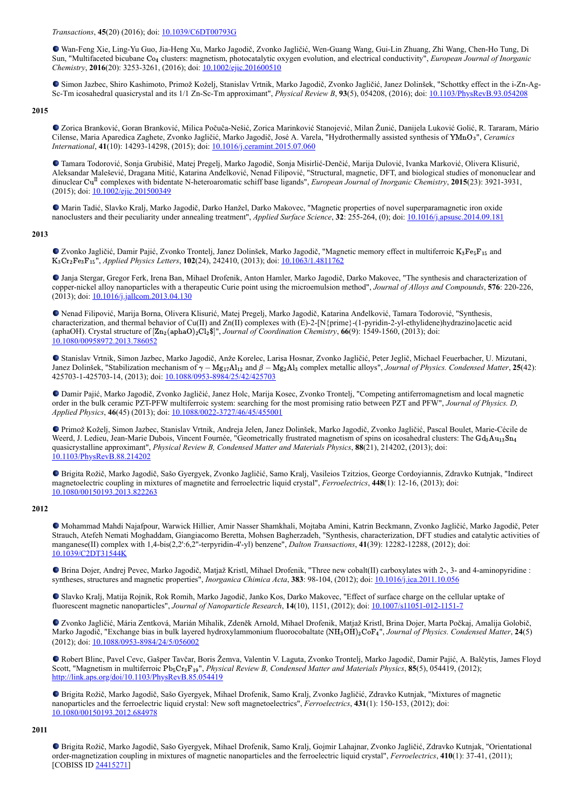*Transactions*, **45**(20) (2016); doi: [10.1039/C6DT00793G](http://dx.doi.org/10.1039/C6DT00793G)

Wan-Feng Xie, Ling-Yu Guo, Jia-Heng Xu, Marko Jagodič, Zvonko Jagličić, Wen-Guang Wang, Gui-Lin Zhuang, Zhi Wang, Chen-Ho Tung, Di Sun, "Multifaceted bicubane Co<sub>4</sub> clusters: magnetism, photocatalytic oxygen evolution, and electrical conductivity", *European Journal of Inorganic Chemistry*, **2016**(20): 3253-3261, (2016); doi: [10.1002/ejic.201600510](http://dx.doi.org/10.1002/ejic.201600510)

Simon Jazbec, Shiro Kashimoto, Primož Koželj, Stanislav Vrtnik, Marko Jagodič, Zvonko Jagličić, Janez Dolinšek, "Schottky effect in the i-Zn-Ag-Sc-Tm icosahedral quasicrystal and its 1/1 Zn-Sc-Tm approximant", *Physical Review B*, **93**(5), 054208, (2016); doi: [10.1103/PhysRevB.93.054208](https://dx.doi.org/10.1103/PhysRevB.93.054208)

## **2015**

Zorica Branković, Goran Branković, Milica Počuča-Nešić, Zorica Marinković Stanojević, Milan Žunić, Danijela Luković Golić, R. Tararam, Mário Cilense, Maria Aparedica Zaghete, Zvonko Jagličić, Marko Jagodič, José A. Varela, "Hydrothermally assisted synthesis of YMnO3", Ceramics *International*, **41**(10): 14293-14298, (2015); doi: [10.1016/j.ceramint.2015.07.060](http://dx.doi.org/10.1016/j.ceramint.2015.07.060)

Tamara Todorović, Sonja Grubišić, Matej Pregelj, Marko Jagodič, Sonja Misirlić-Denčić, Marija Dulović, Ivanka Marković, Olivera Klisurić, Aleksandar Malešević, Dragana Mitić, Katarina Anđelković, Nenad Filipović, "Structural, magnetic, DFT, and biological studies of mononuclear and dinuclear Cu<sup>II</sup> complexes with bidentate N-heteroaromatic schiff base ligands", *European Journal of Inorganic Chemistry*, 2015(23): 3921-3931, (2015); doi: [10.1002/ejic.201500349](https://dx.doi.org/10.1002/ejic.201500349)

Marin Tadić, Slavko Kralj, Marko Jagodič, Darko Hanžel, Darko Makovec, "Magnetic properties of novel superparamagnetic iron oxide nanoclusters and their peculiarity under annealing treatment", *Applied Surface Science*, **32**: 255-264, (0); doi: [10.1016/j.apsusc.2014.09.181](https://dx.doi.org/10.1016/j.apsusc.2014.09.181)

## **2013**

Zvonko Jagličić, Damir Pajić, Zvonko Trontelj, Janez Dolinšek, Marko Jagodič, "Magnetic memory effect in multiferroic K<sub>3</sub>Fe<sub>5</sub>F<sub>15</sub> and K<sub>3</sub>Cr<sub>2</sub>Fe<sub>3</sub>F<sub>15</sub>", *Applied Physics Letters*, 102(24), 242410, (2013); doi: [10.1063/1.4811762](https://dx.doi.org/10.1063/1.4811762)

Janja Stergar, Gregor Ferk, Irena Ban, Mihael Drofenik, Anton Hamler, Marko Jagodič, Darko Makovec, "The synthesis and characterization of copper-nickel alloy nanoparticles with a therapeutic Curie point using the microemulsion method", *Journal of Alloys and Compounds*, **576**: 220-226, (2013); doi: [10.1016/j.jallcom.2013.04.130](https://dx.doi.org/10.1016/j.jallcom.2013.04.130)

Nenad Filipović, Marija Borna, Olivera Klisurić, Matej Pregelj, Marko Jagodič, Katarina Anđelković, Tamara Todorović, "Synthesis, characterization, and thermal behavior of Cu(II) and Zn(II) complexes with (E)-2-[N{prime}-(1-pyridin-2-yl-ethylidene)hydrazino]acetic acid (aphaOH). Crystal structure of  $[\text{Zn}_2(\text{aphaO})_2\text{Cl}_2\$]$ ", *Journal of Coordination Chemistry*, **66**(9): 1549-1560, (2013); doi: [10.1080/00958972.2013.786052](https://dx.doi.org/10.1080/00958972.2013.786052)

Stanislav Vrtnik, Simon Jazbec, Marko Jagodič, Anže Korelec, Larisa Hosnar, Zvonko Jagličić, Peter Jeglič, Michael Feuerbacher, U. Mizutani, Janez Dolinšek, "Stabilization mechanism of  $\gamma - Mg_{17}Al_{12}$  and  $\beta - Mg_{2}Al_{3}$  complex metallic alloys", *Journal of Physics. Condensed Matter*, **25**(42): 425703-1-425703-14, (2013); doi: [10.1088/0953-8984/25/42/425703](https://dx.doi.org/10.1088/0953-8984/25/42/425703)

Damir Pajić, Marko Jagodič, Zvonko Jagličić, Janez Holc, Marija Kosec, Zvonko Trontelj, "Competing antiferromagnetism and local magnetic order in the bulk ceramic PZT-PFW multiferroic system: searching for the most promising ratio between PZT and PFW", *Journal of Physics. D, Applied Physics*, **46**(45) (2013); doi: [10.1088/0022-3727/46/45/455001](http://dx.doi.org/10.1088/0022-3727/46/45/455001)

Primož Koželj, Simon Jazbec, Stanislav Vrtnik, Andreja Jelen, Janez Dolinšek, Marko Jagodič, Zvonko Jagličić, Pascal Boulet, Marie-Cécile de Weerd, J. Ledieu, Jean-Marie Dubois, Vincent Fournée, "Geometrically frustrated magnetism of spins on icosahedral clusters: The Gd<sub>3</sub>Au<sub>13</sub>Sn<sub>4</sub> quasicrystalline approximant", *Physical Review B, Condensed Matter and Materials Physics*, **88**(21), 214202, (2013); doi: [10.1103/PhysRevB.88.214202](https://dx.doi.org/10.1103/PhysRevB.88.214202)

Brigita Rožič, Marko Jagodič, Sašo Gyergyek, Zvonko Jagličić, Samo Kralj, Vasileios Tzitzios, George Cordoyiannis, Zdravko Kutnjak, "Indirect magnetoelectric coupling in mixtures of magnetite and ferroelectric liquid crystal", *Ferroelectrics*, **448**(1): 12-16, (2013); doi: [10.1080/00150193.2013.822263](https://dx.doi.org/10.1080/00150193.2013.822263)

## **2012**

Mohammad Mahdi Najafpour, Warwick Hillier, Amir Nasser Shamkhali, Mojtaba Amini, Katrin Beckmann, Zvonko Jagličić, Marko Jagodič, Peter Strauch, Atefeh Nemati Moghaddam, Giangiacomo Beretta, Mohsen Bagherzadeh, "Synthesis, characterization, DFT studies and catalytic activities of manganese(II) complex with 1,4-bis(2,2':6,2''-terpyridin-4'-yl) benzene", *Dalton Transactions*, **41**(39): 12282-12288, (2012); doi: [10.1039/C2DT31544K](http://dx.doi.org/10.1039/C2DT31544K)

Brina Dojer, Andrej Pevec, Marko Jagodič, Matjaž Kristl, Mihael Drofenik, "Three new cobalt(II) carboxylates with 2-, 3- and 4-aminopyridine : syntheses, structures and magnetic properties", *Inorganica Chimica Acta*, **383**: 98-104, (2012); doi: [10.1016/j.ica.2011.10.056](https://dx.doi.org/10.1016/j.ica.2011.10.056)

Slavko Kralj, Matija Rojnik, Rok Romih, Marko Jagodič, Janko Kos, Darko Makovec, "Effect of surface charge on the cellular uptake of fluorescent magnetic nanoparticles", *Journal of Nanoparticle Research*, **14**(10), 1151, (2012); doi: [10.1007/s11051-012-1151-7](https://dx.doi.org/10.1007/s11051-012-1151-7)

Zvonko Jagličić, Mária Zentková, Marián Mihalik, Zdeněk Arnold, Mihael Drofenik, Matjaž Kristl, Brina Dojer, Marta Počkaj, Amalija Golobič, Marko Jagodič, "Exchange bias in bulk layered hydroxylammonium fluorocobaltate (NH<sub>3</sub>OH)<sub>2</sub>CoF<sub>4</sub>", *Journal of Physics. Condensed Matter*, **24**(5) (2012); doi: [10.1088/0953-8984/24/5/056002](http://dx.doi.org/10.1088/0953-8984/24/5/056002)

Robert Blinc, Pavel Cevc, Gašper Tavčar, Boris Žemva, Valentin V. Laguta, Zvonko Trontelj, Marko Jagodič, Damir Pajić, A. Balčytis, James Floyd Scott, "Magnetism in multiferroic Pb<sub>5</sub>Cr<sub>3</sub>F<sub>19</sub>", *Physical Review B, Condensed Matter and Materials Physics*, 85(5), 054419, (2012); <http://link.aps.org/doi/10.1103/PhysRevB.85.054419>

Brigita Rožič, Marko Jagodič, Sašo Gyergyek, Mihael Drofenik, Samo Kralj, Zvonko Jagličić, Zdravko Kutnjak, "Mixtures of magnetic nanoparticles and the ferroelectric liquid crystal: New soft magnetoelectrics", *Ferroelectrics*, **431**(1): 150-153, (2012); doi: [10.1080/00150193.2012.684978](https://dx.doi.org/10.1080/00150193.2012.684978)

#### **2011**

Brigita Rožič, Marko Jagodič, Sašo Gyergyek, Mihael Drofenik, Samo Kralj, Gojmir Lahajnar, Zvonko Jagličić, Zdravko Kutnjak, "Orientational order-magnetization coupling in mixtures of magnetic nanoparticles and the ferroelectric liquid crystal", *Ferroelectrics*, **410**(1): 37-41, (2011); [COBISS ID [24415271](https://plus.si.cobiss.net/opac7/bib/24415271?lang=en)]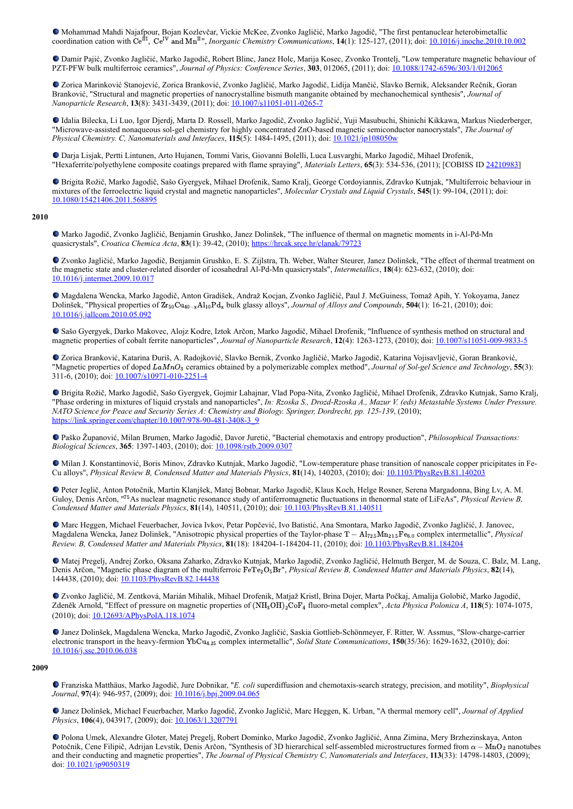Mohammad Mahdi Najafpour, Bojan Kozlevčar, Vickie McKee, Zvonko Jagličić, Marko Jagodič, "The first pentanuclear heterobimetallic coordination cation with  $\text{Ce}^{\text{III}}$ ,  $\text{Ce}^{\text{IV}}$  and  $\text{Mn}^{\text{II}}$ ", *Inorganic Chemistry Communications*, **14**(1): 125-127, (2011); doi: <u>[10.1016/j.inoche.2010.10.002](https://dx.doi.org/10.1016/j.inoche.2010.10.002)</u>

Damir Pajić, Zvonko Jagličić, Marko Jagodič, Robert Blinc, Janez Holc, Marija Kosec, Zvonko Trontelj, "Low temperature magnetic behaviour of PZT-PFW bulk multiferroic ceramics", *Journal of Physics: Conference Series*, **303**, 012065, (2011); doi: [10.1088/1742-6596/303/1/012065](http://dx.doi.org/10.1088/1742-6596/303/1/012065)

Zorica Marinković Stanojević, Zorica Branković, Zvonko Jagličić, Marko Jagodič, Lidija Mančić, Slavko Bernik, Aleksander Rečnik, Goran Branković, "Structural and magnetic properties of nanocrystalline bismuth manganite obtained by mechanochemical synthesis", *Journal of Nanoparticle Research*, **13**(8): 3431-3439, (2011); doi: [10.1007/s11051-011-0265-7](https://dx.doi.org/10.1007/s11051-011-0265-7)

Idalia Bilecka, Li Luo, Igor Djerdj, Marta D. Rossell, Marko Jagodič, Zvonko Jagličić, Yuji Masubuchi, Shinichi Kikkawa, Markus Niederberger, "Microwave-assisted nonaqueous sol-gel chemistry for highly concentrated ZnO-based magnetic semiconductor nanocrystals", *The Journal of Physical Chemistry. C, Nanomaterials and Interfaces*, **115**(5): 1484-1495, (2011); doi: [10.1021/jp108050w](http://dx.doi.org/10.1021/jp108050w)

Darja Lisjak, Pertti Lintunen, Arto Hujanen, Tommi Varis, Giovanni Bolelli, Luca Lusvarghi, Marko Jagodič, Mihael Drofenik, "Hexaferrite/polyethylene composite coatings prepared with flame spraying", *Materials Letters*, **65**(3): 534-536, (2011); [COBISS ID [24210983](https://plus.si.cobiss.net/opac7/bib/24210983?lang=en)]

Brigita Rožič, Marko Jagodič, Sašo Gyergyek, Mihael Drofenik, Samo Kralj, George Cordoyiannis, Zdravko Kutnjak, "Multiferroic behaviour in mixtures of the ferroelectric liquid crystal and magnetic nanoparticles", *Molecular Crystals and Liquid Crystals*, **545**(1): 99-104, (2011); doi: [10.1080/15421406.2011.568895](https://dx.doi.org/10.1080/15421406.2011.568895)

#### **2010**

Marko Jagodič, Zvonko Jagličić, Benjamin Grushko, Janez Dolinšek, "The influence of thermal on magnetic moments in i-Al-Pd-Mn quasicrystals", *Croatica Chemica Acta*, **83**(1): 39-42, (2010); <https://hrcak.srce.hr/clanak/79723>

Zvonko Jagličić, Marko Jagodič, Benjamin Grushko, E. S. Zijlstra, Th. Weber, Walter Steurer, Janez Dolinšek, "The effect of thermal treatment on the magnetic state and cluster-related disorder of icosahedral Al-Pd-Mn quasicrystals", *Intermetallics*, **18**(4): 623-632, (2010); doi: [10.1016/j.intermet.2009.10.017](https://dx.doi.org/10.1016/j.intermet.2009.10.017)

Magdalena Wencka, Marko Jagodič, Anton Gradišek, Andraž Kocjan, Zvonko Jagličić, Paul J. McGuiness, Tomaž Apih, Y. Yokoyama, Janez Dolinšek, "Physical properties of  $Zr_{50}Cu_{40-x}Al_{10}Pd_x$  bulk glassy alloys", *Journal of Alloys and Compounds*, **504**(1): 16-21, (2010); doi: [10.1016/j.jallcom.2010.05.092](https://doi.org/10.1016/j.jallcom.2010.05.092)

Sašo Gyergyek, Darko Makovec, Alojz Kodre, Iztok Arčon, Marko Jagodič, Mihael Drofenik, "Influence of synthesis method on structural and magnetic properties of cobalt ferrite nanoparticles", *Journal of Nanoparticle Research*, **12**(4): 1263-1273, (2010); doi: [10.1007/s11051-009-9833-5](https://dx.doi.org/10.1007/s11051-009-9833-5)

Zorica Branković, Katarina Đuriš, A. Radojković, Slavko Bernik, Zvonko Jagličić, Marko Jagodič, Katarina Vojisavljević, Goran Branković, "Magnetic properties of doped LaMnO<sub>3</sub> ceramics obtained by a polymerizable complex method", *Journal of Sol-gel Science and Technology*, 55(3): 311-6, (2010); doi: [10.1007/s10971-010-2251-4](https://dx.doi.org/10.1007/s10971-010-2251-4)

Brigita Rožič, Marko Jagodič, Sašo Gyergyek, Gojmir Lahajnar, Vlad Popa-Nita, Zvonko Jagličić, Mihael Drofenik, Zdravko Kutnjak, Samo Kralj, "Phase ordering in mixtures of liquid crystals and nanoparticles", *In: Rzoska S., Drozd-Rzoska A., Mazur V. (eds) Metastable Systems Under Pressure. NATO Science for Peace and Security Series A: Chemistry and Biology. Springer, Dordrecht, pp. 125-139*, (2010); [https://link.springer.com/chapter/10.1007/978-90-481-3408-3\\_9](https://link.springer.com/chapter/10.1007/978-90-481-3408-3_9)

Paško Županović, Milan Brumen, Marko Jagodič, Davor Juretić, "Bacterial chemotaxis and entropy production", *Philosophical Transactions: Biological Sciences*, **365**: 1397-1403, (2010); doi: [10.1098/rstb.2009.0307](https://dx.doi.org/10.1098/rstb.2009.0307)

Milan J. Konstantinović, Boris Minov, Zdravko Kutnjak, Marko Jagodič, "Low-temperature phase transition of nanoscale copper pricipitates in Fe-Cu alloys", *Physical Review B, Condensed Matter and Materials Physics*, **81**(14), 140203, (2010); doi: [10.1103/PhysRevB.81.140203](https://doi.org/10.1103/PhysRevB.81.140203)

Peter Jeglič, Anton Potočnik, Martin Klanjšek, Matej Bobnar, Marko Jagodič, Klaus Koch, Helge Rosner, Serena Margadonna, Bing Lv, A. M. Guloy, Denis Arčon, "<sup>75</sup>As nuclear magnetic resonance study of antiferromagnetic fluctuations in thenormal state of LiFeAs", *Physical Review B*, *Condensed Matter and Materials Physics*, **81**(14), 140511, (2010); doi: [10.1103/PhysRevB.81.140511](https://dx.doi.org/10.1103/PhysRevB.81.140511)

Marc Heggen, Michael Feuerbacher, Jovica Ivkov, Petar Popčević, Ivo Batistić, Ana Smontara, Marko Jagodič, Zvonko Jagličić, J. Janovec, Magdalena Wencka, Janez Dolinšek, "Anisotropic physical properties of the Taylor-phase T − Al<sub>72.5</sub>Mn<sub>21.5</sub>Fe<sub>6.0</sub> complex intermetallic", *Physical Review. B, Condensed Matter and Materials Physics*, **81**(18): 184204-1-184204-11, (2010); doi: [10.1103/PhysRevB.81.184204](https://dx.doi.org/10.1103/PhysRevB.81.184204)

Matej Pregelj, Andrej Zorko, Oksana Zaharko, Zdravko Kutnjak, Marko Jagodič, Zvonko Jagličić, Helmuth Berger, M. de Souza, C. Balz, M. Lang, Denis Arčon, "Magnetic phase diagram of the multiferroic FeTe<sub>2</sub>O<sub>5</sub>Br", *Physical Review B, Condensed Matter and Materials Physics*, 82(14), 144438, (2010); doi: [10.1103/PhysRevB.82.144438](https://doi.org/10.1103/PhysRevB.82.144438%20target=)

Zvonko Jagličić, M. Zentková, Marián Mihalik, Mihael Drofenik, Matjaž Kristl, Brina Dojer, Marta Počkaj, Amalija Golobič, Marko Jagodič, Zdeněk Arnold, "Effect of pressure on magnetic properties of  $(NH_3OH)_2CoF_4$  fluoro-metal complex", *Acta Physica Polonica A*, 118(5): 1074-1075, (2010); doi: [10.12693/APhysPolA.118.1074](http://dx.doi.org/10.12693/APhysPolA.118.1074)

Janez Dolinšek, Magdalena Wencka, Marko Jagodič, Zvonko Jagličić, Saskia Gottlieb-Schönmeyer, F. Ritter, W. Assmus, "Slow-charge-carrier electronic transport in the heavy-fermion YbCu<sub>4.25</sub> complex intermetallic", *Solid State Communications*, **150**(35/36): 1629-1632, (2010); doi: [10.1016/j.ssc.2010.06.038](https://doi.org/10.1016/j.ssc.2010.06.038)

#### **2009**

Franziska Matthäus, Marko Jagodič, Jure Dobnikar, "*E. coli* superdiffusion and chemotaxis-search strategy, precision, and motility", *Biophysical Journal*, **97**(4): 946-957, (2009); doi: [10.1016/j.bpj.2009.04.065](http://dx.doi.org/10.1016/j.bpj.2009.04.065)

Janez Dolinšek, Michael Feuerbacher, Marko Jagodič, Zvonko Jagličić, Marc Heggen, K. Urban, "A thermal memory cell", *Journal of Applied Physics*, **106**(4), 043917, (2009); doi: [10.1063/1.3207791](https://doi.org/10.1063/1.3207791)

Polona Umek, Alexandre Gloter, Matej Pregelj, Robert Dominko, Marko Jagodič, Zvonko Jagličić, Anna Zimina, Mery Brzhezinskaya, Anton Potočnik, Cene Filipič, Adrijan Levstik, Denis Arčon, "Synthesis of 3D hierarchical self-assembled microstructures formed from  $\alpha - \overline{MnO_2}$  nanotubes and their conducting and magnetic properties", *The Journal of Physical Chemistry C, Nanomaterials and Interfaces*, **113**(33): 14798-14803, (2009); doi: [10.1021/jp9050319](https://doi.org/10.1021/jp9050319)